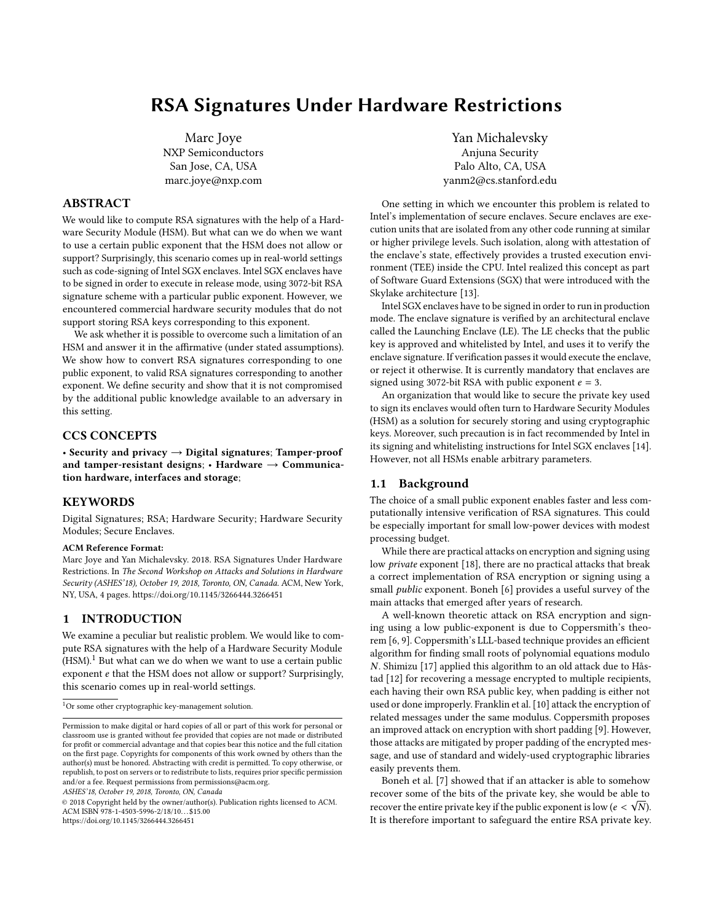# RSA Signatures Under Hardware Restrictions

Marc Joye NXP Semiconductors San Jose, CA, USA marc.joye@nxp.com

## ABSTRACT

We would like to compute RSA signatures with the help of a Hardware Security Module (HSM). But what can we do when we want to use a certain public exponent that the HSM does not allow or support? Surprisingly, this scenario comes up in real-world settings such as code-signing of Intel SGX enclaves. Intel SGX enclaves have to be signed in order to execute in release mode, using 3072-bit RSA signature scheme with a particular public exponent. However, we encountered commercial hardware security modules that do not support storing RSA keys corresponding to this exponent.

We ask whether it is possible to overcome such a limitation of an HSM and answer it in the affirmative (under stated assumptions). We show how to convert RSA signatures corresponding to one public exponent, to valid RSA signatures corresponding to another exponent. We define security and show that it is not compromised by the additional public knowledge available to an adversary in this setting.

## CCS CONCEPTS

• Security and privacy  $\rightarrow$  Digital signatures; Tamper-proof and tamper-resistant designs;  $\cdot$  Hardware  $\rightarrow$  Communication hardware, interfaces and storage;

# **KEYWORDS**

Digital Signatures; RSA; Hardware Security; Hardware Security Modules; Secure Enclaves.

#### ACM Reference Format:

Marc Joye and Yan Michalevsky. 2018. RSA Signatures Under Hardware Restrictions. In The Second Workshop on Attacks and Solutions in Hardware Security (ASHES'18), October 19, 2018, Toronto, ON, Canada. ACM, New York, NY, USA, [4](#page-3-0) pages.<https://doi.org/10.1145/3266444.3266451>

## 1 INTRODUCTION

We examine a peculiar but realistic problem. We would like to compute RSA signatures with the help of a Hardware Security Module  $(HSM).<sup>1</sup>$  $(HSM).<sup>1</sup>$  $(HSM).<sup>1</sup>$  But what can we do when we want to use a certain public exponent e that the HSM does not allow or support? Surprisingly, this scenario comes up in real-world settings.

ASHES'18, October 19, 2018, Toronto, ON, Canada

© 2018 Copyright held by the owner/author(s). Publication rights licensed to ACM. ACM ISBN 978-1-4503-5996-2/18/10...\$15.00 <https://doi.org/10.1145/3266444.3266451>

Yan Michalevsky Anjuna Security Palo Alto, CA, USA yanm2@cs.stanford.edu

One setting in which we encounter this problem is related to Intel's implementation of secure enclaves. Secure enclaves are execution units that are isolated from any other code running at similar or higher privilege levels. Such isolation, along with attestation of the enclave's state, effectively provides a trusted execution environment (TEE) inside the CPU. Intel realized this concept as part of Software Guard Extensions (SGX) that were introduced with the Skylake architecture [\[13\]](#page-3-1).

Intel SGX enclaves have to be signed in order to run in production mode. The enclave signature is verified by an architectural enclave called the Launching Enclave (LE). The LE checks that the public key is approved and whitelisted by Intel, and uses it to verify the enclave signature. If verification passes it would execute the enclave, or reject it otherwise. It is currently mandatory that enclaves are signed using 3072-bit RSA with public exponent  $e = 3$ .

An organization that would like to secure the private key used to sign its enclaves would often turn to Hardware Security Modules (HSM) as a solution for securely storing and using cryptographic keys. Moreover, such precaution is in fact recommended by Intel in its signing and whitelisting instructions for Intel SGX enclaves [\[14\]](#page-3-2). However, not all HSMs enable arbitrary parameters.

## 1.1 Background

The choice of a small public exponent enables faster and less computationally intensive verification of RSA signatures. This could be especially important for small low-power devices with modest processing budget.

While there are practical attacks on encryption and signing using low private exponent [\[18\]](#page-3-3), there are no practical attacks that break a correct implementation of RSA encryption or signing using a small public exponent. Boneh [\[6\]](#page-3-4) provides a useful survey of the main attacks that emerged after years of research.

A well-known theoretic attack on RSA encryption and signing using a low public-exponent is due to Coppersmith's theorem [\[6,](#page-3-4) [9\]](#page-3-5). Coppersmith's LLL-based technique provides an efficient algorithm for finding small roots of polynomial equations modulo N. Shimizu [\[17\]](#page-3-6) applied this algorithm to an old attack due to Håstad [\[12\]](#page-3-7) for recovering a message encrypted to multiple recipients, each having their own RSA public key, when padding is either not used or done improperly. Franklin et al. [\[10\]](#page-3-8) attack the encryption of related messages under the same modulus. Coppersmith proposes an improved attack on encryption with short padding [\[9\]](#page-3-5). However, those attacks are mitigated by proper padding of the encrypted message, and use of standard and widely-used cryptographic libraries easily prevents them.

Boneh et al. [\[7\]](#page-3-9) showed that if an attacker is able to somehow recover some of the bits of the private key, she would be able to recover the entire private key if the public exponent is low  $(e < \sqrt{N})$ .<br>It is therefore important to safeguard the entire PSA private key. It is therefore important to safeguard the entire RSA private key.

<span id="page-0-0"></span> $^1{\rm Or}$  some other cryptographic key-management solution.

Permission to make digital or hard copies of all or part of this work for personal or classroom use is granted without fee provided that copies are not made or distributed for profit or commercial advantage and that copies bear this notice and the full citation on the first page. Copyrights for components of this work owned by others than the author(s) must be honored. Abstracting with credit is permitted. To copy otherwise, or republish, to post on servers or to redistribute to lists, requires prior specific permission and/or a fee. Request permissions from permissions@acm.org.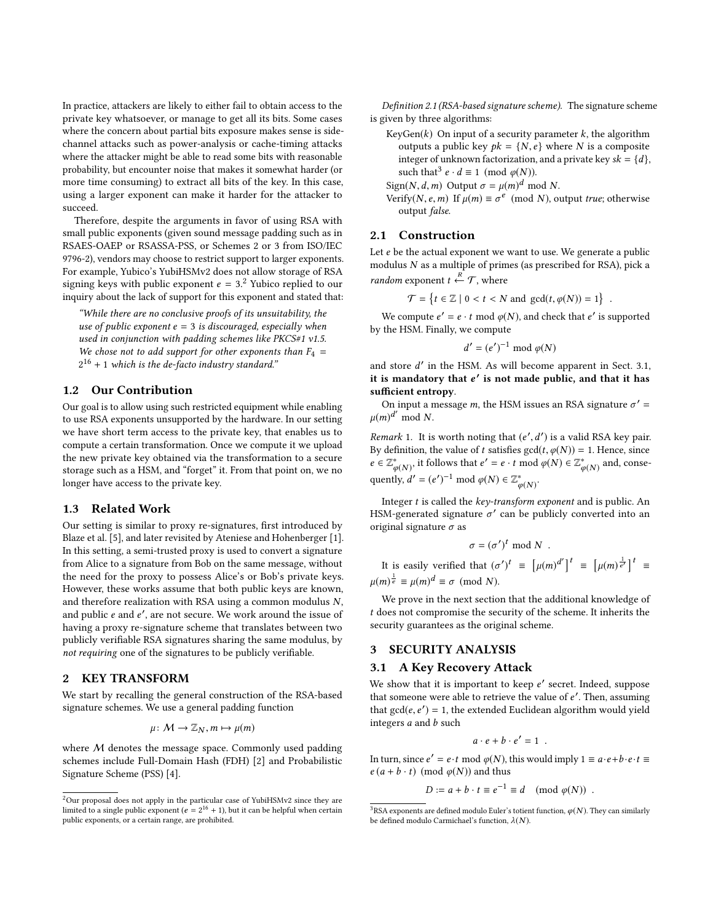In practice, attackers are likely to either fail to obtain access to the private key whatsoever, or manage to get all its bits. Some cases where the concern about partial bits exposure makes sense is sidechannel attacks such as power-analysis or cache-timing attacks where the attacker might be able to read some bits with reasonable probability, but encounter noise that makes it somewhat harder (or more time consuming) to extract all bits of the key. In this case, using a larger exponent can make it harder for the attacker to succeed.

Therefore, despite the arguments in favor of using RSA with small public exponents (given sound message padding such as in RSAES-OAEP or RSASSA-PSS, or Schemes 2 or 3 from ISO/IEC 9796-2), vendors may choose to restrict support to larger exponents. For example, Yubico's YubiHSMv2 does not allow storage of RSA signing keys with public exponent  $e = 3$ .<sup>[2](#page-1-0)</sup> Yubico replied to our inquiry about the lack of support for this exponent and stated that inquiry about the lack of support for this exponent and stated that:

"While there are no conclusive proofs of its unsuitability, the use of public exponent  $e = 3$  is discouraged, especially when used in conjunction with padding schemes like PKCS#1 v1.5. We chose not to add support for other exponents than  $F_4$  =  $2^{16}$  + 1 which is the de-facto industry standard."

## 1.2 Our Contribution

Our goal is to allow using such restricted equipment while enabling to use RSA exponents unsupported by the hardware. In our setting we have short term access to the private key, that enables us to compute a certain transformation. Once we compute it we upload the new private key obtained via the transformation to a secure storage such as a HSM, and "forget" it. From that point on, we no longer have access to the private key.

#### 1.3 Related Work

Our setting is similar to proxy re-signatures, first introduced by Blaze et al. [\[5\]](#page-3-10), and later revisited by Ateniese and Hohenberger [\[1\]](#page-3-11). In this setting, a semi-trusted proxy is used to convert a signature from Alice to a signature from Bob on the same message, without the need for the proxy to possess Alice's or Bob's private keys. However, these works assume that both public keys are known, and therefore realization with RSA using a common modulus N, and public e and e', are not secure. We work around the issue of having a proxy re-signature scheme that translates between two having a proxy re-signature scheme that translates between two publicly verifiable RSA signatures sharing the same modulus, by not requiring one of the signatures to be publicly verifiable.

# <span id="page-1-3"></span>2 KEY TRANSFORM

We start by recalling the general construction of the RSA-based signature schemes. We use a general padding function

$$
\mu\colon \mathcal{M}\to \mathbb{Z}_N, m\mapsto \mu(m)
$$

where *M* denotes the message space. Commonly used padding schemes include Full-Domain Hash (FDH) [\[2\]](#page-3-12) and Probabilistic Signature Scheme (PSS) [\[4\]](#page-3-13).

Definition 2.1 (RSA-based signature scheme). The signature scheme is given by three algorithms:

- KeyGen( $k$ ) On input of a security parameter  $k$ , the algorithm outputs a public key  $pk = \{N, e\}$  where N is a composite integer of unknown factorization, and a private key  $sk = \{d\}$ , such that<sup>[3](#page-1-1)</sup>  $e \cdot d \equiv 1 \pmod{\varphi(N)}$ .
- Sign(N, d, m) Output  $\sigma = \mu(m)^d \mod N$ .<br>Verify(N, e, m) If  $\mu(m) \equiv \sigma^e \pmod{N}$ .

Verify(*N*, *e*, *m*) If  $\mu$ (*m*)  $\equiv \sigma^e$  (mod *N*), output *true*; otherwise output false.

#### 2.1 Construction

Let *e* be the actual exponent we want to use. We generate a public modulus N as a multiple of primes (as prescribed for RSA), pick a *random* exponent  $t \stackrel{R}{\leftarrow} \mathcal{T}$ , where

$$
\mathcal{T} = \left\{ t \in \mathbb{Z} \mid 0 < t < N \text{ and } \gcd(t, \varphi(N)) = 1 \right\}
$$

We compute  $e' = e \cdot t \mod \varphi(N)$ , and check that  $e'$  is supported<br>the HSM. Finally, we compute by the HSM. Finally, we compute

$$
d' = (e')^{-1} \bmod \varphi(N)
$$

and store d' in the HSM. As will become apparent in Sect. [3.1,](#page-1-2)<br>it is mandatory that e' is not made public, and that it has it is mandatory that  $e'$  is not made public, and that it has sufficient entropy.

On input a message *m*, the HSM issues an RSA signature  $\sigma' =$  $\mu(m)^{d'} \mod N$ .

Remark 1. It is worth noting that  $(e', d')$  is a valid RSA key pair.<br>By definition, the value of t satisfies  $\gcd(t, \varphi(N)) = 1$ . Hence, since By definition, the value of t satisfies  $gcd(t, \varphi(N)) = 1$ . Hence, since  $e \in \mathbb{Z}^*$  it follows that  $e' = e$ , t mod  $\varphi(N) \in \mathbb{Z}^*$  and consequently  $e \in \mathbb{Z}_{\varphi(N)}^*$ , it follows that  $e' = e \cdot t \mod \varphi(N) \in \mathbb{Z}_{\varphi(N)}^*$  and, conse-<br>symplic  $d' = (e')^{-1} \mod \varphi(N) \in \mathbb{Z}^*$ quently,  $d' = (e')^{-1} \mod \varphi(N) \in \mathbb{Z}_{\varphi(N)}^*$ .

Integer  $t$  is called the  $key$ -transform exponent and is public. An HSM-generated signature  $\sigma'$  can be publicly converted into an original signature  $\sigma$  as original signature  $\sigma$  as

$$
\sigma = (\sigma')^t \bmod N .
$$

It is easily verified that  $(\sigma')^t \equiv [\mu(m)^{d'}]^t \equiv [\mu(m)^{\frac{1}{e'}}]^t \equiv$  $\mu(m)^{\frac{1}{e}} \equiv \mu(m)^d \equiv \sigma \pmod{N}.$ 

We prove in the next section that the additional knowledge of t does not compromise the security of the scheme. It inherits the security guarantees as the original scheme.

# 3 SECURITY ANALYSIS

#### <span id="page-1-2"></span>3.1 A Key Recovery Attack

We show that it is important to keep  $e'$  secret. Indeed, suppose that someone were able to retrieve the value of  $e'$ . Then, assuming that someone were able to retrieve the value of  $e'$ . Then, assuming<br>that  $\alpha c/(e^{-e'}) = 1$ , the extended Euclidean algorithm would viald that  $gcd(e, e') = 1$ , the extended Euclidean algorithm would yield<br>integers a and h such integers *a* and *b* such

$$
a\cdot e+b\cdot e'=1.
$$

In turn, since  $e' = e \cdot t \mod \varphi(N)$ , this would imply  $1 \equiv a \cdot e + b \cdot e \cdot t \equiv e(a + b \cdot t) \pmod{\varphi(N)}$  and thus  $e(a + b \cdot t) \pmod{\varphi(N)}$  and thus

$$
D := a + b \cdot t \equiv e^{-1} \equiv d \pmod{\varphi(N)}.
$$

<span id="page-1-0"></span> $2$ Our proposal does not apply in the particular case of YubiHSMv2 since they are limited to a single public exponent  $(e = 2^{16} + 1)$ , but it can be helpful when certain<br>public exponents or a certain range are probibited public exponents, or a certain range, are prohibited.

<span id="page-1-1"></span> $^3$ RSA exponents are defined modulo Euler's totient function,  $\varphi(N)$ . They can similarly be defined modulo Carmichael's function,  $\lambda(N)$ .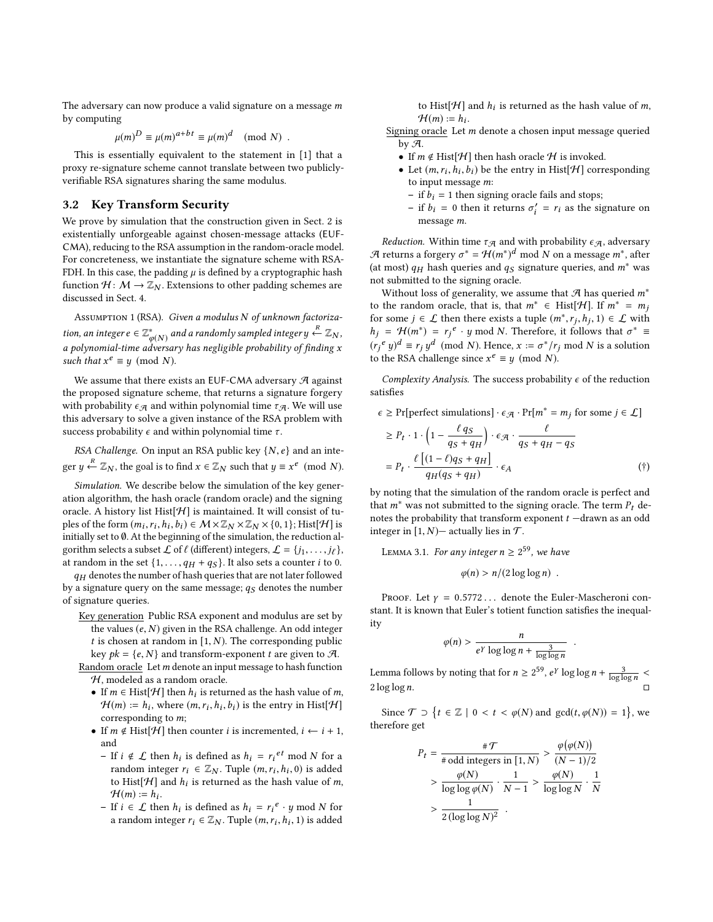The adversary can now produce a valid signature on a message m by computing

$$
\mu(m)^D \equiv \mu(m)^{a+bt} \equiv \mu(m)^d \pmod{N} .
$$

This is essentially equivalent to the statement in [\[1\]](#page-3-11) that a proxy re-signature scheme cannot translate between two publiclyverifiable RSA signatures sharing the same modulus.

# 3.2 Key Transform Security

We prove by simulation that the construction given in Sect. [2](#page-1-3) is existentially unforgeable against chosen-message attacks (EUF-CMA), reducing to the RSA assumption in the random-oracle model. For concreteness, we instantiate the signature scheme with RSA-FDH. In this case, the padding  $\mu$  is defined by a cryptographic hash function  $H: M \to \mathbb{Z}_N$ . Extensions to other padding schemes are discussed in Sect. [4.](#page-3-14)

Assumption 1 (RSA). Given a modulus N of unknown factorization, an integer  $e \in \mathbb{Z}_{\varphi(N)}^*$  and a randomly sampled integer  $y \stackrel{R}{\leftarrow} \mathbb{Z}_N$ ,  $\frac{\varphi(N)}{dvar}$ a polynomial-time adversary has negligible probability of finding x<br>such that  $x^e = u \pmod{N}$ such that  $x^e \equiv y \pmod{N}$ .

We assume that there exists an EUF-CMA adversary  $\mathcal A$  against the proposed signature scheme, that returns a signature forgery with probability  $\epsilon_A$  and within polynomial time  $\tau_A$ . We will use this adversary to solve a given instance of the RSA problem with success probability  $\epsilon$  and within polynomial time  $\tau$ .

RSA Challenge. On input an RSA public key  $\{N, e\}$  and an integer  $y \stackrel{R}{\leftarrow} \mathbb{Z}_N$ , the goal is to find  $x \in \mathbb{Z}_N$  such that  $y \equiv x^e \pmod{N}$ .

Simulation. We describe below the simulation of the key generation algorithm, the hash oracle (random oracle) and the signing oracle. A history list Hist $[\mathcal{H}]$  is maintained. It will consist of tuples of the form  $(m_i, r_i, h_i, b_i) \in \mathcal{M} \times \mathbb{Z}_N \times \mathbb{Z}_N \times \{0, 1\}$ ; Hist[H] is<br>initially set to 0, At the beginning of the simulation, the reduction alinitially set to  $\emptyset$ . At the beginning of the simulation, the reduction algorithm selects a subset  $\mathcal L$  of  $\ell$  (different) integers,  $\mathcal L = \{j_1, \ldots, j_\ell\}$ , at random in the set  $\{1, \ldots, q_H + q_S\}$ . It also sets a counter *i* to 0.

 $q_H$  denotes the number of hash queries that are not later followed by a signature query on the same message;  $q_S$  denotes the number of signature queries.

Key generation Public RSA exponent and modulus are set by the values  $(e, N)$  given in the RSA challenge. An odd integer t is chosen at random in  $[1, N)$ . The corresponding public key  $pk = \{e, N\}$  and transform-exponent t are given to  $\mathcal{A}$ .

Random oracle Let  $m$  denote an input message to hash function H, modeled as a random oracle.

- If  $m \in \text{Hist}[\mathcal{H}]$  then  $h_i$  is returned as the hash value of m,  $\mathcal{H}(m) = h$ , where  $(m, r, h, h_i)$  is the entry in Hiet $[\mathcal{H}]$  $\mathcal{H}(m) := h_i$ , where  $(m, r_i, h_i, b_i)$  is the entry in Hist[ $\mathcal{H}$ ]<br>corresponding to m: corresponding to m;
- If  $m \notin Hist[\mathcal{H}]$  then counter *i* is incremented,  $i \leftarrow i + 1$ , and
	- If  $i \notin \mathcal{L}$  then  $h_i$  is defined as  $h_i = r_i^{et} \mod N$  for a random integer  $r_i \in \mathbb{Z}$ . Tuple  $(m, r, h, 0)$  is added random integer  $r_i \in \mathbb{Z}_N$ . Tuple  $(m, r_i, h_i, 0)$  is added to Hierli-H and h, is returned as the bash value of m to Hist[H] and  $h_i$  is returned as the hash value of m,<br> $H(m) = h$ .  $H(m) := h_i.$ <br>If  $i \in C$  the
	- If *i* ∈ *L* then *h<sub>i</sub>* is defined as *h<sub>i</sub>* =  $r_i^e \cdot y \mod N$  for a random integer  $r_i \in \mathbb{Z}_N$ . Tuple  $(m, r_i, h_i, 1)$  is added

to Hist[ $H$ ] and  $h_i$  is returned as the hash value of *m*,  $H(m) - h$ .  $\mathcal{H}(m) := h_i.$ 

Signing oracle Let m denote a chosen input message queried by  $\mathcal{A}$ .

- If  $m \notin Hist[\mathcal{H}]$  then hash oracle  $\mathcal H$  is invoked.
- Let  $(m, r_i, \hat{h}_i, \hat{b}_i)$  be the entry in Hist[ $\mathcal{H}$ ] corresponding<br>to input message m: to input message m:<br>= if  $h_1 = 1$  then sign
	- if  $b_i = 1$  then signing oracle fails and stops;
- if  $b_i = 0$  then it returns  $\sigma'_i = r_i$  as the signature on message m message m.

*Reduction.* Within time  $\tau_A$  and with probability  $\epsilon_A$ , adversary A returns a forgery  $\sigma^* = \mathcal{H}(m^*)^d \mod N$  on a message  $m^*$ , after  $\sigma^*$  and  $m^*$  was the queries and  $m^*$  was (at most)  $q_H$  hash queries and  $q_S$  signature queries, and  $m^*$  was not submitted to the signing oracle.

Without loss of generality, we assume that  $A$  has queried  $m^*$ to the random oracle, that is, that  $m^* \in \text{Hist}[\mathcal{H}]$ . If  $m^* = m_j$ for some  $j \in \mathcal{L}$  then there exists a tuple  $(m^*, r_j, h_j, 1) \in \mathcal{L}$  with  $h_i = H(m^*) = r_i e_j$ , u mod N. Therefore, it follows that  $\sigma^* =$  $h_j = H(m^*) = r_j^e \cdot y \mod N$ . Therefore, it follows that  $\sigma^* \equiv (n^e, y^d, -n, y^d, (mod N))$ . Herefore, it follows that  $\sigma^* \equiv$  $(r_j^e y)^d \equiv r_j y^d \pmod{N}$ . Hence,  $x := \sigma^* / r_j \bmod{N}$  is a solution to the PSA challenge since  $x^e \equiv u \pmod{N}$ to the RSA challenge since  $x^e \equiv y \pmod{N}$ .

Complexity Analysis. The success probability  $\epsilon$  of the reduction satisfies

$$
\epsilon \geq \Pr[\text{perfect simulations}] \cdot \epsilon_{\mathcal{A}} \cdot \Pr[m^* = m_j \text{ for some } j \in \mathcal{L}]
$$

$$
\geq P_t \cdot 1 \cdot \left(1 - \frac{\ell q_S}{q_S + q_H}\right) \cdot \epsilon_{\mathcal{A}} \cdot \frac{\ell}{q_S + q_H - q_S}
$$
\n
$$
= P_t \cdot \frac{\ell \left[ (1 - \ell)q_S + q_H \right]}{q_H(q_S + q_H)} \cdot \epsilon_A \tag{\dagger}
$$
\nby noting that the simulation of the random oracle is perfect and

that  $m^*$  was not submitted to the signing oracle. The term  $P_t$  denotes the probability that transform exponent  $t$  -drawn as an odd integer in  $[1, N)$ — actually lies in  $T$ .

LEMMA 3.1. For any integer  $n \geq 2^{59}$ , we have

<span id="page-2-0"></span>
$$
\varphi(n) > n/(2\log\log n) \enspace .
$$

PROOF. Let  $\gamma = 0.5772...$  denote the Euler-Mascheroni constant. It is known that Euler's totient function satisfies the inequality

$$
\varphi(n) > \frac{n}{e^{\gamma} \log \log n + \frac{3}{\log \log n}}.
$$

Lemma follows by noting that for  $n \ge 2^{59}$ ,  $e^{\gamma} \log \log n + \frac{3}{\log \log n}$  $2 \log \log n$ .

Since  $\mathcal{T} \supset \{t \in \mathbb{Z} \mid 0 < t < \varphi(N) \text{ and } \gcd(t, \varphi(N)) = 1\},\$ we therefore get

$$
P_t = \frac{\# \mathcal{T}}{\# \text{ odd integers in } [1, N)} > \frac{\varphi(\varphi(N))}{(N-1)/2}
$$

$$
> \frac{\varphi(N)}{\log \log \varphi(N)} \cdot \frac{1}{N-1} > \frac{\varphi(N)}{\log \log N} \cdot \frac{1}{N}
$$

$$
> \frac{1}{2(\log \log N)^2} .
$$